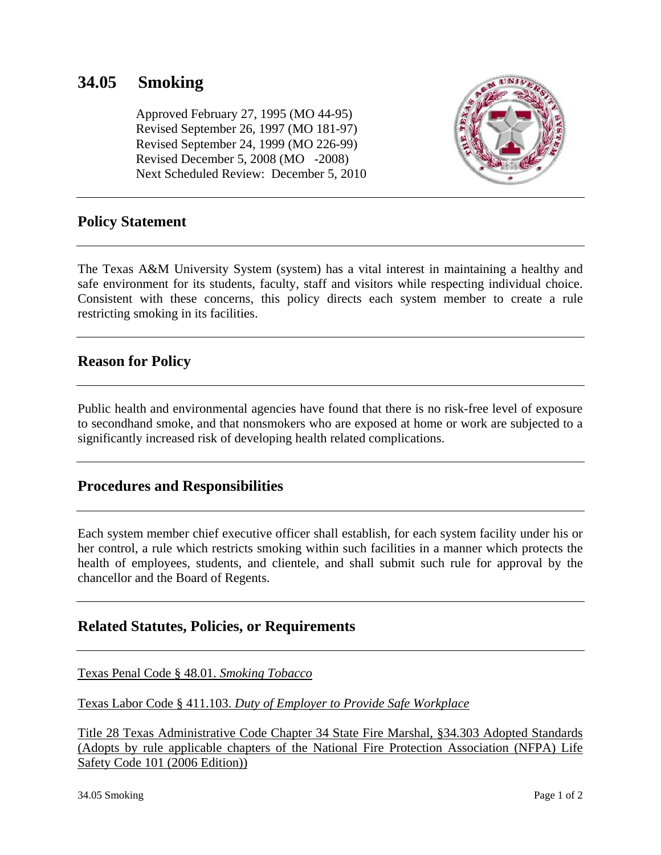# **34.05 Smoking**

 Approved February 27, 1995 (MO 44-95) Revised September 26, 1997 (MO 181-97) Revised September 24, 1999 (MO 226-99) Revised December 5, 2008 (MO -2008) Next Scheduled Review: December 5, 2010



#### **Policy Statement**

The Texas A&M University System (system) has a vital interest in maintaining a healthy and safe environment for its students, faculty, staff and visitors while respecting individual choice. Consistent with these concerns, this policy directs each system member to create a rule restricting smoking in its facilities.

#### **Reason for Policy**

Public health and environmental agencies have found that there is no risk-free level of exposure to secondhand smoke, and that nonsmokers who are exposed at home or work are subjected to a significantly increased risk of developing health related complications.

#### **Procedures and Responsibilities**

Each system member chief executive officer shall establish, for each system facility under his or her control, a rule which restricts smoking within such facilities in a manner which protects the health of employees, students, and clientele, and shall submit such rule for approval by the chancellor and the Board of Regents.

## **Related Statutes, Policies, or Requirements**

[Texas Penal Code § 48.01.](http://www.statutes.legis.state.tx.us/DocViewer.aspx?K2DocKey=odbc%3a%2f%2fSOTW%2fASUPUBLIC.dbo.vwSOTW%2fPE%2fS%2fPE.48.62328.53623%40SOTW&QueryText=48.01&HighlightType=1) *Smoking Tobacco*

Texas Labor Code § 411.103. *[Duty of Employer to Provide Safe Workplace](http://www.statutes.legis.state.tx.us/DocViewer.aspx?K2DocKey=odbc%3a%2f%2fSOTW%2fASUPUBLIC.dbo.vwSOTW%2fLA%2fS%2fLA.411.39527.34390%40SOTW&QueryText=411.103&HighlightType=1)*

[Title 28 Texas Administrative Code Chapter 34 State Fire Marshal, §34.303 Adopted Standards](http://info.sos.state.tx.us/pls/pub/readtac$ext.TacPage?sl=R&app=9&p_dir=&p_rloc=&p_tloc=&p_ploc=&pg=1&p_tac=&ti=28&pt=1&ch=34&rl=303)  [\(Adopts by rule applicable chapters of the National Fire Protection Association \(NFPA\) Life](http://info.sos.state.tx.us/pls/pub/readtac$ext.TacPage?sl=R&app=9&p_dir=&p_rloc=&p_tloc=&p_ploc=&pg=1&p_tac=&ti=28&pt=1&ch=34&rl=303)  [Safety Code 101 \(2006 Edition\)\)](http://info.sos.state.tx.us/pls/pub/readtac$ext.TacPage?sl=R&app=9&p_dir=&p_rloc=&p_tloc=&p_ploc=&pg=1&p_tac=&ti=28&pt=1&ch=34&rl=303)